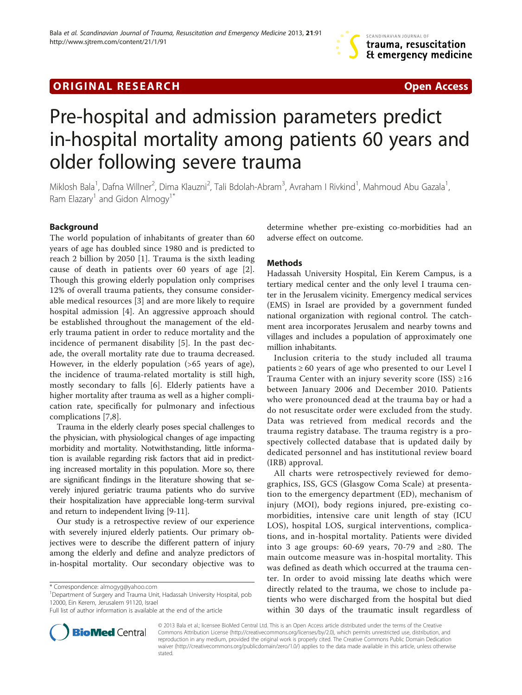## **ORIGINAL RESEARCH CONFIDENTIAL CONSUMING A LOCAL CONFIDENTIAL CONFIDENTIAL CONFIDENTIAL CONFIDENTIAL CONFIDENTI**



# Pre-hospital and admission parameters predict in-hospital mortality among patients 60 years and older following severe trauma

Miklosh Bala<sup>1</sup>, Dafna Willner<sup>2</sup>, Dima Klauzni<sup>2</sup>, Tali Bdolah-Abram<sup>3</sup>, Avraham I Rivkind<sup>1</sup>, Mahmoud Abu Gazala<sup>1</sup> , Ram Elazary<sup>1</sup> and Gidon Almogy<sup>1\*</sup>

## Background

The world population of inhabitants of greater than 60 years of age has doubled since 1980 and is predicted to reach 2 billion by 2050 [[1\]](#page-5-0). Trauma is the sixth leading cause of death in patients over 60 years of age [\[2](#page-5-0)]. Though this growing elderly population only comprises 12% of overall trauma patients, they consume considerable medical resources [\[3](#page-5-0)] and are more likely to require hospital admission [[4\]](#page-5-0). An aggressive approach should be established throughout the management of the elderly trauma patient in order to reduce mortality and the incidence of permanent disability [[5\]](#page-5-0). In the past decade, the overall mortality rate due to trauma decreased. However, in the elderly population (>65 years of age), the incidence of trauma-related mortality is still high, mostly secondary to falls [[6\]](#page-5-0). Elderly patients have a higher mortality after trauma as well as a higher complication rate, specifically for pulmonary and infectious complications [[7,8\]](#page-5-0).

Trauma in the elderly clearly poses special challenges to the physician, with physiological changes of age impacting morbidity and mortality. Notwithstanding, little information is available regarding risk factors that aid in predicting increased mortality in this population. More so, there are significant findings in the literature showing that severely injured geriatric trauma patients who do survive their hospitalization have appreciable long-term survival and return to independent living [\[9-11](#page-5-0)].

Our study is a retrospective review of our experience with severely injured elderly patients. Our primary objectives were to describe the different pattern of injury among the elderly and define and analyze predictors of in-hospital mortality. Our secondary objective was to

<sup>1</sup>Department of Surgery and Trauma Unit, Hadassah University Hospital, pob 12000, Ein Kerem, Jerusalem 91120, Israel

determine whether pre-existing co-morbidities had an adverse effect on outcome.

#### **Methods**

Hadassah University Hospital, Ein Kerem Campus, is a tertiary medical center and the only level I trauma center in the Jerusalem vicinity. Emergency medical services (EMS) in Israel are provided by a government funded national organization with regional control. The catchment area incorporates Jerusalem and nearby towns and villages and includes a population of approximately one million inhabitants.

Inclusion criteria to the study included all trauma patients ≥ 60 years of age who presented to our Level I Trauma Center with an injury severity score (ISS) ≥16 between January 2006 and December 2010. Patients who were pronounced dead at the trauma bay or had a do not resuscitate order were excluded from the study. Data was retrieved from medical records and the trauma registry database. The trauma registry is a prospectively collected database that is updated daily by dedicated personnel and has institutional review board (IRB) approval.

All charts were retrospectively reviewed for demographics, ISS, GCS (Glasgow Coma Scale) at presentation to the emergency department (ED), mechanism of injury (MOI), body regions injured, pre-existing comorbidities, intensive care unit length of stay (ICU LOS), hospital LOS, surgical interventions, complications, and in-hospital mortality. Patients were divided into 3 age groups: 60-69 years, 70-79 and ≥80. The main outcome measure was in-hospital mortality. This was defined as death which occurred at the trauma center. In order to avoid missing late deaths which were directly related to the trauma, we chose to include patients who were discharged from the hospital but died within 30 days of the traumatic insult regardless of



© 2013 Bala et al.; licensee BioMed Central Ltd. This is an Open Access article distributed under the terms of the Creative Commons Attribution License [\(http://creativecommons.org/licenses/by/2.0\)](http://creativecommons.org/licenses/by/2.0), which permits unrestricted use, distribution, and reproduction in any medium, provided the original work is properly cited. The Creative Commons Public Domain Dedication waiver [\(http://creativecommons.org/publicdomain/zero/1.0/\)](http://creativecommons.org/publicdomain/zero/1.0/) applies to the data made available in this article, unless otherwise stated.

<sup>\*</sup> Correspondence: [almogyg@yahoo.com](mailto:almogyg@yahoo.com) <sup>1</sup>

Full list of author information is available at the end of the article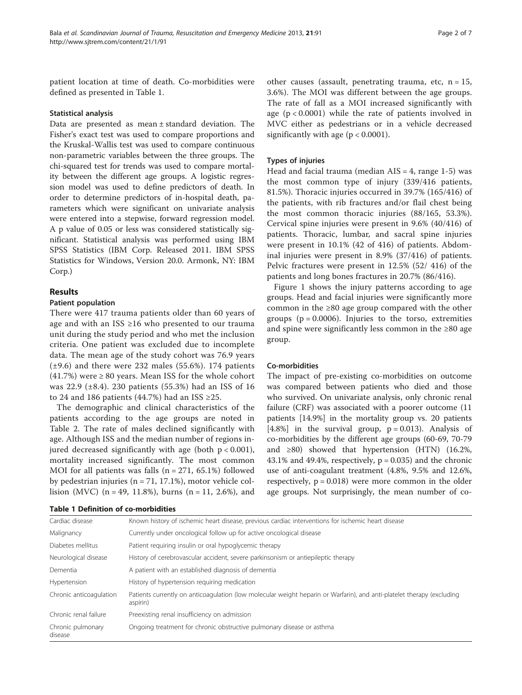patient location at time of death. Co-morbidities were defined as presented in Table 1.

#### Statistical analysis

Data are presented as mean ± standard deviation. The Fisher's exact test was used to compare proportions and the Kruskal-Wallis test was used to compare continuous non-parametric variables between the three groups. The chi-squared test for trends was used to compare mortality between the different age groups. A logistic regression model was used to define predictors of death. In order to determine predictors of in-hospital death, parameters which were significant on univariate analysis were entered into a stepwise, forward regression model. A p value of 0.05 or less was considered statistically significant. Statistical analysis was performed using IBM SPSS Statistics (IBM Corp. Released 2011. IBM SPSS Statistics for Windows, Version 20.0. Armonk, NY: IBM Corp.)

## Results

### Patient population

There were 417 trauma patients older than 60 years of age and with an ISS  $\geq$ 16 who presented to our trauma unit during the study period and who met the inclusion criteria. One patient was excluded due to incomplete data. The mean age of the study cohort was 76.9 years  $(\pm 9.6)$  and there were 232 males (55.6%). 174 patients (41.7%) were  $\geq 80$  years. Mean ISS for the whole cohort was 22.9 (±8.4). 230 patients (55.3%) had an ISS of 16 to 24 and 186 patients (44.7%) had an ISS  $\geq$ 25.

The demographic and clinical characteristics of the patients according to the age groups are noted in Table [2.](#page-2-0) The rate of males declined significantly with age. Although ISS and the median number of regions injured decreased significantly with age (both  $p < 0.001$ ), mortality increased significantly. The most common MOI for all patients was falls  $(n = 271, 65.1%)$  followed by pedestrian injuries (n = 71, 17.1%), motor vehicle collision (MVC) (n = 49, 11.8%), burns (n = 11, 2.6%), and

|  |  | <b>Table 1 Definition of co-morbidities</b> |
|--|--|---------------------------------------------|
|--|--|---------------------------------------------|

other causes (assault, penetrating trauma, etc,  $n = 15$ , 3.6%). The MOI was different between the age groups. The rate of fall as a MOI increased significantly with age  $(p < 0.0001)$  while the rate of patients involved in MVC either as pedestrians or in a vehicle decreased significantly with age ( $p < 0.0001$ ).

## Types of injuries

Head and facial trauma (median  $AIS = 4$ , range 1-5) was the most common type of injury (339/416 patients, 81.5%). Thoracic injuries occurred in 39.7% (165/416) of the patients, with rib fractures and/or flail chest being the most common thoracic injuries (88/165, 53.3%). Cervical spine injuries were present in 9.6% (40/416) of patients. Thoracic, lumbar, and sacral spine injuries were present in 10.1% (42 of 416) of patients. Abdominal injuries were present in 8.9% (37/416) of patients. Pelvic fractures were present in 12.5% (52/ 416) of the patients and long bones fractures in 20.7% (86/416).

Figure [1](#page-2-0) shows the injury patterns according to age groups. Head and facial injuries were significantly more common in the ≥80 age group compared with the other groups ( $p = 0.0006$ ). Injuries to the torso, extremities and spine were significantly less common in the ≥80 age group.

## Co-morbidities

The impact of pre-existing co-morbidities on outcome was compared between patients who died and those who survived. On univariate analysis, only chronic renal failure (CRF) was associated with a poorer outcome (11 patients [14.9%] in the mortality group vs. 20 patients [4.8%] in the survival group,  $p = 0.013$ ). Analysis of co-morbidities by the different age groups (60-69, 70-79 and  $\geq 80$ ) showed that hypertension (HTN) (16.2%, 43.1% and 49.4%, respectively,  $p = 0.035$ ) and the chronic use of anti-coagulant treatment (4.8%, 9.5% and 12.6%, respectively,  $p = 0.018$ ) were more common in the older age groups. Not surprisingly, the mean number of co-

| Cardiac disease              | Known history of ischemic heart disease, previous cardiac interventions for ischemic heart disease                                 |
|------------------------------|------------------------------------------------------------------------------------------------------------------------------------|
| Malignancy                   | Currently under oncological follow up for active oncological disease                                                               |
| Diabetes mellitus            | Patient requiring insulin or oral hypoglycemic therapy                                                                             |
| Neurological disease         | History of cerebrovascular accident, severe parkinsonism or antiepileptic therapy                                                  |
| Dementia                     | A patient with an established diagnosis of dementia                                                                                |
| Hypertension                 | History of hypertension requiring medication                                                                                       |
| Chronic anticoagulation      | Patients currently on anticoagulation (low molecular weight heparin or Warfarin), and anti-platelet therapy (excluding<br>aspirin) |
| Chronic renal failure        | Preexisting renal insufficiency on admission                                                                                       |
| Chronic pulmonary<br>disease | Ongoing treatment for chronic obstructive pulmonary disease or asthma                                                              |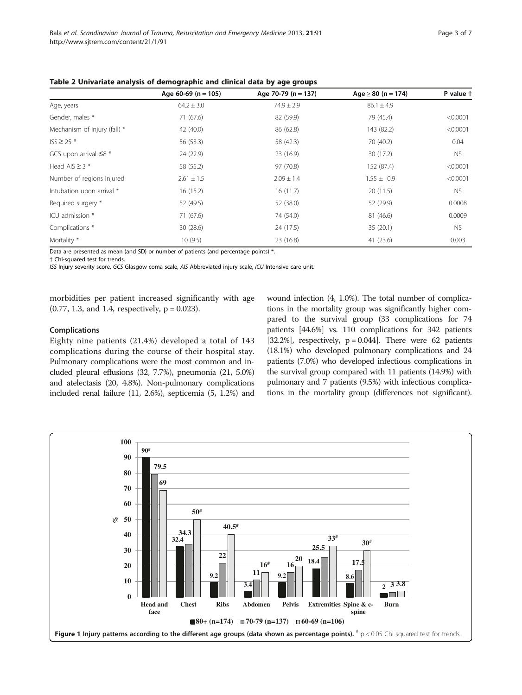|                              | Age 60-69 ( $n = 105$ ) | Age 70-79 ( $n = 137$ ) | $Age \ge 80$ (n = 174) | P value t |
|------------------------------|-------------------------|-------------------------|------------------------|-----------|
| Age, years                   | $64.2 \pm 3.0$          | $74.9 \pm 2.9$          | $86.1 \pm 4.9$         |           |
| Gender, males *              | 71 (67.6)               | 82 (59.9)               | 79 (45.4)              | < 0.0001  |
| Mechanism of Injury (fall) * | 42 (40.0)               | 86 (62.8)               | 143 (82.2)             | < 0.0001  |
| $ISS \ge 25$ *               | 56 (53.3)               | 58 (42.3)               | 70 (40.2)              | 0.04      |
| GCS upon arrival $\leq 8$ *  | 24 (22.9)               | 23 (16.9)               | 30(17.2)               | <b>NS</b> |
| Head AIS $\geq$ 3 $*$        | 58 (55.2)               | 97 (70.8)               | 152 (87.4)             | < 0.0001  |
| Number of regions injured    | $2.61 \pm 1.5$          | $2.09 \pm 1.4$          | $1.55 \pm 0.9$         | < 0.0001  |
| Intubation upon arrival *    | 16(15.2)                | 16(11.7)                | 20(11.5)               | <b>NS</b> |
| Required surgery *           | 52 (49.5)               | 52 (38.0)               | 52 (29.9)              | 0.0008    |
| ICU admission *              | 71 (67.6)               | 74 (54.0)               | 81 (46.6)              | 0.0009    |
| Complications <sup>*</sup>   | 30(28.6)                | 24 (17.5)               | 35(20.1)               | <b>NS</b> |
| Mortality *                  | 10(9.5)                 | 23 (16.8)               | 41(23.6)               | 0.003     |

<span id="page-2-0"></span>Table 2 Univariate analysis of demographic and clinical data by age groups

Data are presented as mean (and SD) or number of patients (and percentage points) \*.

† Chi-squared test for trends.

ISS Injury severity score, GCS Glasgow coma scale, AIS Abbreviated injury scale, ICU Intensive care unit.

morbidities per patient increased significantly with age  $(0.77, 1.3,$  and 1.4, respectively,  $p = 0.023$ ).

#### Complications

Eighty nine patients (21.4%) developed a total of 143 complications during the course of their hospital stay. Pulmonary complications were the most common and included pleural effusions (32, 7.7%), pneumonia (21, 5.0%) and atelectasis (20, 4.8%). Non-pulmonary complications included renal failure (11, 2.6%), septicemia (5, 1.2%) and wound infection (4, 1.0%). The total number of complications in the mortality group was significantly higher compared to the survival group (33 complications for 74 patients [44.6%] vs. 110 complications for 342 patients [32.2%], respectively,  $p = 0.044$ ]. There were 62 patients (18.1%) who developed pulmonary complications and 24 patients (7.0%) who developed infectious complications in the survival group compared with 11 patients (14.9%) with pulmonary and 7 patients (9.5%) with infectious complications in the mortality group (differences not significant).

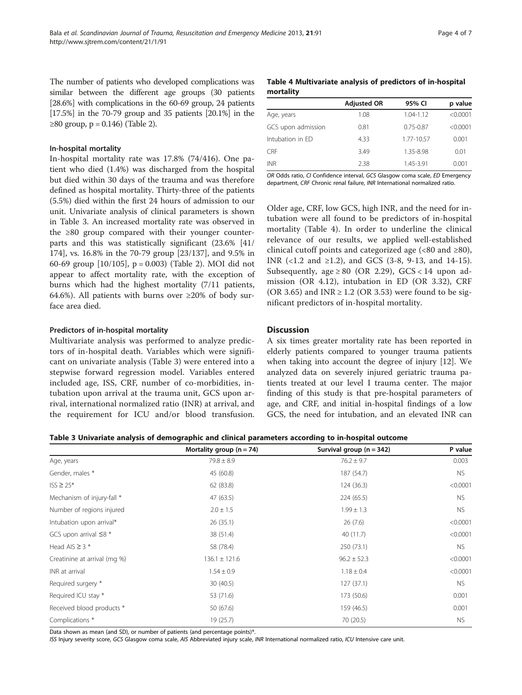The number of patients who developed complications was similar between the different age groups (30 patients [28.6%] with complications in the 60-69 group, 24 patients [17.5%] in the 70-79 group and 35 patients [20.1%] in the ≥80 group, p = 0.146) (Table [2](#page-2-0)).

#### In-hospital mortality

In-hospital mortality rate was 17.8% (74/416). One patient who died (1.4%) was discharged from the hospital but died within 30 days of the trauma and was therefore defined as hospital mortality. Thirty-three of the patients (5.5%) died within the first 24 hours of admission to our unit. Univariate analysis of clinical parameters is shown in Table 3. An increased mortality rate was observed in the ≥80 group compared with their younger counterparts and this was statistically significant (23.6% [41/ 174], vs. 16.8% in the 70-79 group [23/137], and 9.5% in 60-69 group [10/105], p = 0.003) (Table [2](#page-2-0)). MOI did not appear to affect mortality rate, with the exception of burns which had the highest mortality (7/11 patients, 64.6%). All patients with burns over  $\geq 20\%$  of body surface area died.

### Predictors of in-hospital mortality

Multivariate analysis was performed to analyze predictors of in-hospital death. Variables which were significant on univariate analysis (Table 3) were entered into a stepwise forward regression model. Variables entered included age, ISS, CRF, number of co-morbidities, intubation upon arrival at the trauma unit, GCS upon arrival, international normalized ratio (INR) at arrival, and the requirement for ICU and/or blood transfusion.

Table 4 Multivariate analysis of predictors of in-hospital mortality

|                    | <b>Adjusted OR</b> | 95% CI        | p value  |
|--------------------|--------------------|---------------|----------|
| Age, years         | 1.08               | $1.04 - 1.12$ | < 0.0001 |
| GCS upon admission | 0.81               | $0.75 - 0.87$ | < 0.0001 |
| Intubation in ED   | 4.33               | 1.77-10.57    | 0.001    |
| <b>CRF</b>         | 3.49               | 1.35-8.98     | 0.01     |
| <b>INR</b>         | 2.38               | 1.45-3.91     | 0.001    |

OR Odds ratio, CI Confidence interval, GCS Glasgow coma scale, ED Emergency department, CRF Chronic renal failure, INR International normalized ratio.

Older age, CRF, low GCS, high INR, and the need for intubation were all found to be predictors of in-hospital mortality (Table 4). In order to underline the clinical relevance of our results, we applied well-established clinical cutoff points and categorized age  $(<80 \text{ and } \geq 80)$ , INR (<1.2 and ≥1.2), and GCS (3-8, 9-13, and 14-15). Subsequently, age  $\geq 80$  (OR 2.29), GCS < 14 upon admission (OR 4.12), intubation in ED (OR 3.32), CRF (OR 3.65) and INR  $\geq$  1.2 (OR 3.53) were found to be significant predictors of in-hospital mortality.

## **Discussion**

A six times greater mortality rate has been reported in elderly patients compared to younger trauma patients when taking into account the degree of injury [\[12](#page-5-0)]. We analyzed data on severely injured geriatric trauma patients treated at our level I trauma center. The major finding of this study is that pre-hospital parameters of age, and CRF, and initial in-hospital findings of a low GCS, the need for intubation, and an elevated INR can

Table 3 Univariate analysis of demographic and clinical parameters according to in-hospital outcome

|                              | Mortality group $(n = 74)$ | Survival group $(n = 342)$ | P value   |
|------------------------------|----------------------------|----------------------------|-----------|
| Age, years                   | $79.8 \pm 8.9$             | $76.2 \pm 9.7$             | 0.003     |
| Gender, males *              | 45 (60.8)                  | 187 (54.7)                 | NS.       |
| $ISS \geq 25*$               | 62 (83.8)                  | 124(36.3)                  | < 0.0001  |
| Mechanism of injury-fall *   | 47 (63.5)                  | 224(65.5)                  | <b>NS</b> |
| Number of regions injured    | $2.0 \pm 1.5$              | $1.99 \pm 1.3$             | NS.       |
| Intubation upon arrival*     | 26(35.1)                   | 26(7.6)                    | < 0.0001  |
| GCS upon arrival $\leq 8$ *  | 38 (51.4)                  | 40 (11.7)                  | < 0.0001  |
| Head AIS $\geq$ 3 $*$        | 58 (78.4)                  | 250 (73.1)                 | NS.       |
| Creatinine at arrival (mg %) | $136.1 \pm 121.6$          | $96.2 \pm 52.3$            | < 0.0001  |
| INR at arrival               | $1.54 \pm 0.9$             | $1.18 \pm 0.4$             | < 0.0001  |
| Required surgery *           | 30(40.5)                   | 127(37.1)                  | <b>NS</b> |
| Required ICU stay *          | 53 (71.6)                  | 173 (50.6)                 | 0.001     |
| Received blood products *    | 50 (67.6)                  | 159 (46.5)                 | 0.001     |
| Complications *              | 19(25.7)                   | 70 (20.5)                  | <b>NS</b> |

Data shown as mean (and SD), or number of patients (and percentage points)\*.

ISS Injury severity score, GCS Glasgow coma scale, AIS Abbreviated injury scale, INR International normalized ratio, ICU Intensive care unit.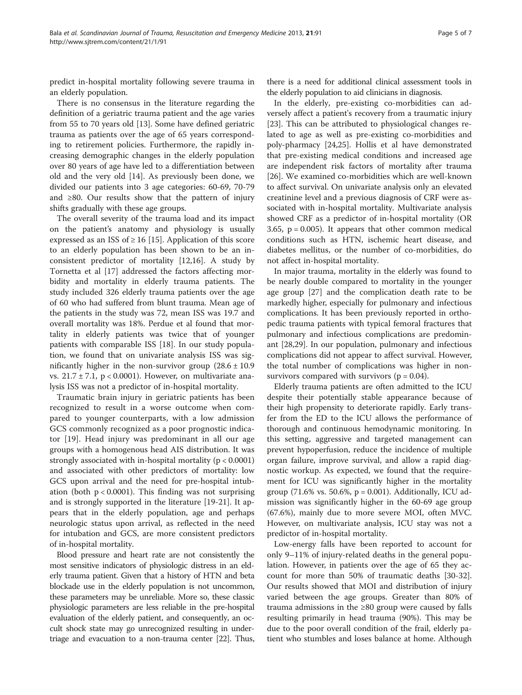predict in-hospital mortality following severe trauma in an elderly population.

There is no consensus in the literature regarding the definition of a geriatric trauma patient and the age varies from 55 to 70 years old [[13\]](#page-5-0). Some have defined geriatric trauma as patients over the age of 65 years corresponding to retirement policies. Furthermore, the rapidly increasing demographic changes in the elderly population over 80 years of age have led to a differentiation between old and the very old [\[14](#page-5-0)]. As previously been done, we divided our patients into 3 age categories: 60-69, 70-79 and ≥80. Our results show that the pattern of injury shifts gradually with these age groups.

The overall severity of the trauma load and its impact on the patient's anatomy and physiology is usually expressed as an ISS of  $\geq$  16 [\[15](#page-5-0)]. Application of this score to an elderly population has been shown to be an inconsistent predictor of mortality [\[12,16](#page-5-0)]. A study by Tornetta et al [\[17\]](#page-5-0) addressed the factors affecting morbidity and mortality in elderly trauma patients. The study included 326 elderly trauma patients over the age of 60 who had suffered from blunt trauma. Mean age of the patients in the study was 72, mean ISS was 19.7 and overall mortality was 18%. Perdue et al found that mortality in elderly patients was twice that of younger patients with comparable ISS [\[18\]](#page-5-0). In our study population, we found that on univariate analysis ISS was significantly higher in the non-survivor group  $(28.6 \pm 10.9)$ vs.  $21.7 \pm 7.1$ , p < 0.0001). However, on multivariate analysis ISS was not a predictor of in-hospital mortality.

Traumatic brain injury in geriatric patients has been recognized to result in a worse outcome when compared to younger counterparts, with a low admission GCS commonly recognized as a poor prognostic indicator [[19\]](#page-5-0). Head injury was predominant in all our age groups with a homogenous head AIS distribution. It was strongly associated with in-hospital mortality ( $p < 0.0001$ ) and associated with other predictors of mortality: low GCS upon arrival and the need for pre-hospital intubation (both  $p < 0.0001$ ). This finding was not surprising and is strongly supported in the literature [[19-21](#page-5-0)]. It appears that in the elderly population, age and perhaps neurologic status upon arrival, as reflected in the need for intubation and GCS, are more consistent predictors of in-hospital mortality.

Blood pressure and heart rate are not consistently the most sensitive indicators of physiologic distress in an elderly trauma patient. Given that a history of HTN and beta blockade use in the elderly population is not uncommon, these parameters may be unreliable. More so, these classic physiologic parameters are less reliable in the pre-hospital evaluation of the elderly patient, and consequently, an occult shock state may go unrecognized resulting in undertriage and evacuation to a non-trauma center [[22](#page-5-0)]. Thus,

there is a need for additional clinical assessment tools in the elderly population to aid clinicians in diagnosis.

In the elderly, pre-existing co-morbidities can adversely affect a patient's recovery from a traumatic injury [[23\]](#page-5-0). This can be attributed to physiological changes related to age as well as pre-existing co-morbidities and poly-pharmacy [[24](#page-5-0),[25](#page-5-0)]. Hollis et al have demonstrated that pre-existing medical conditions and increased age are independent risk factors of mortality after trauma [[26\]](#page-6-0). We examined co-morbidities which are well-known to affect survival. On univariate analysis only an elevated creatinine level and a previous diagnosis of CRF were associated with in-hospital mortality. Multivariate analysis showed CRF as a predictor of in-hospital mortality (OR 3.65,  $p = 0.005$ ). It appears that other common medical conditions such as HTN, ischemic heart disease, and diabetes mellitus, or the number of co-morbidities, do not affect in-hospital mortality.

In major trauma, mortality in the elderly was found to be nearly double compared to mortality in the younger age group [[27\]](#page-6-0) and the complication death rate to be markedly higher, especially for pulmonary and infectious complications. It has been previously reported in orthopedic trauma patients with typical femoral fractures that pulmonary and infectious complications are predominant [\[28,29\]](#page-6-0). In our population, pulmonary and infectious complications did not appear to affect survival. However, the total number of complications was higher in nonsurvivors compared with survivors ( $p = 0.04$ ).

Elderly trauma patients are often admitted to the ICU despite their potentially stable appearance because of their high propensity to deteriorate rapidly. Early transfer from the ED to the ICU allows the performance of thorough and continuous hemodynamic monitoring. In this setting, aggressive and targeted management can prevent hypoperfusion, reduce the incidence of multiple organ failure, improve survival, and allow a rapid diagnostic workup. As expected, we found that the requirement for ICU was significantly higher in the mortality group (71.6% vs. 50.6%,  $p = 0.001$ ). Additionally, ICU admission was significantly higher in the 60-69 age group (67.6%), mainly due to more severe MOI, often MVC. However, on multivariate analysis, ICU stay was not a predictor of in-hospital mortality.

Low-energy falls have been reported to account for only 9–11% of injury-related deaths in the general population. However, in patients over the age of 65 they account for more than 50% of traumatic deaths [\[30-32](#page-6-0)]. Our results showed that MOI and distribution of injury varied between the age groups. Greater than 80% of trauma admissions in the ≥80 group were caused by falls resulting primarily in head trauma (90%). This may be due to the poor overall condition of the frail, elderly patient who stumbles and loses balance at home. Although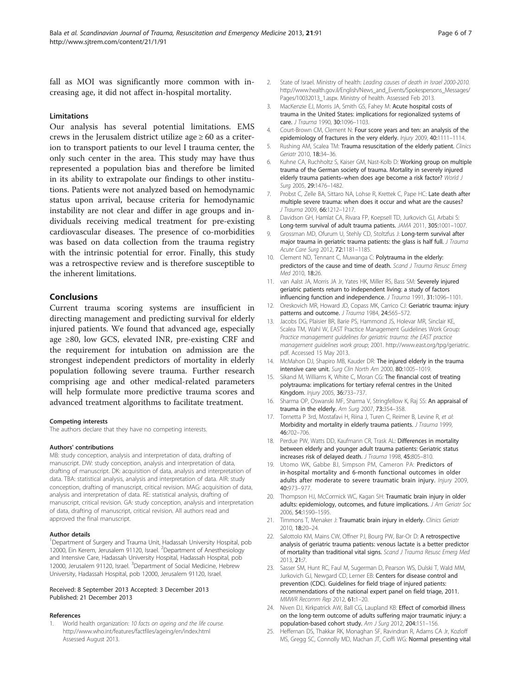<span id="page-5-0"></span>fall as MOI was significantly more common with increasing age, it did not affect in-hospital mortality.

#### Limitations

Our analysis has several potential limitations. EMS crews in the Jerusalem district utilize age  $\geq 60$  as a criterion to transport patients to our level I trauma center, the only such center in the area. This study may have thus represented a population bias and therefore be limited in its ability to extrapolate our findings to other institutions. Patients were not analyzed based on hemodynamic status upon arrival, because criteria for hemodynamic instability are not clear and differ in age groups and individuals receiving medical treatment for pre-existing cardiovascular diseases. The presence of co-morbidities was based on data collection from the trauma registry with the intrinsic potential for error. Finally, this study was a retrospective review and is therefore susceptible to the inherent limitations.

## Conclusions

Current trauma scoring systems are insufficient in directing management and predicting survival for elderly injured patients. We found that advanced age, especially age  $\geq 80$ , low GCS, elevated INR, pre-existing CRF and the requirement for intubation on admission are the strongest independent predictors of mortality in elderly population following severe trauma. Further research comprising age and other medical-related parameters will help formulate more predictive trauma scores and advanced treatment algorithms to facilitate treatment.

#### Competing interests

The authors declare that they have no competing interests.

#### Authors' contributions

MB: study conception, analysis and interpretation of data, drafting of manuscript. DW: study conception, analysis and interpretation of data, drafting of manuscript. DK: acquisition of data, analysis and interpretation of data. TBA: statistical analysis, analysis and interpretation of data. AIR: study conception, drafting of manuscript, critical revision. MAG: acquisition of data, analysis and interpretation of data. RE: statistical analysis, drafting of manuscript, critical revision. GA: study conception, analysis and interpretation of data, drafting of manuscript, critical revision. All authors read and approved the final manuscript.

#### Author details

<sup>1</sup>Department of Surgery and Trauma Unit, Hadassah University Hospital, pob 12000, Ein Kerem, Jerusalem 91120, Israel. <sup>2</sup>Department of Anesthesiology and Intensive Care, Hadassah University Hospital, Hadassah Hospital, pob 12000, Jerusalem 91120, Israel. <sup>3</sup>Department of Social Medicine, Hebrew University, Hadassah Hospital, pob 12000, Jerusalem 91120, Israel.

#### Received: 8 September 2013 Accepted: 3 December 2013 Published: 21 December 2013

#### References

World health organization: 10 facts on ageing and the life course. <http://www.who.int/features/factfiles/ageing/en/index.html> Assessed August 2013.

- 2. State of Israel. Ministry of health: Leading causes of death in Israel 2000-2010. [http://www.health.gov.il/English/News\\_and\\_Events/Spokespersons\\_Messages/](http://www.health.gov.il/English/News_and_Events/Spokespersons_Messages/Pages/10032013_1.aspx) [Pages/10032013\\_1.aspx](http://www.health.gov.il/English/News_and_Events/Spokespersons_Messages/Pages/10032013_1.aspx). Ministry of health. Assessed Feb 2013.
- 3. MacKenzie EJ, Morris JA, Smith GS, Fahey M: Acute hospital costs of trauma in the United States: implications for regionalized systems of care. J Trauma 1990, 30:1096–1103.
- 4. Court-Brown CM, Clement N: Four score years and ten: an analysis of the epidemiology of fractures in the very elderly. Injury 2009, 40:1111-1114.
- 5. Rushing AM, Scalea TM: Trauma resuscitation of the elderly patient. Clinics Geriatr 2010, 18:34–36.
- 6. Kuhne CA, Ruchholtz S, Kaiser GM, Nast-Kolb D: Working group on multiple trauma of the German society of trauma. Mortality in severely injured elderly trauma patients-when does age become a risk factor? World J Surg 2005, 29:1476–1482.
- 7. Probst C, Zelle BA, Sittaro NA, Lohse R, Krettek C, Pape HC: Late death after multiple severe trauma: when does it occur and what are the causes? J Trauma 2009, 66:1212–1217.
- 8. Davidson GH, Hamlat CA, Rivara FP, Koepsell TD, Jurkovich GJ, Arbabi S: Long-term survival of adult trauma patients. JAMA 2011, 305:1001–1007.
- Grossman MD, Ofurum U, Stehly CD, Stoltzfus J: Long-term survival after major trauma in geriatric trauma patients: the glass is half full. J Trauma Acute Care Surg 2012, 72:1181-1185.
- 10. Clement ND, Tennant C, Muwanga C: Polytrauma in the elderly: predictors of the cause and time of death. Scand J Trauma Resusc Emerg Med 2010, 18:26.
- 11. van Aalst JA, Morris JA Jr, Yates HK, Miller RS, Bass SM: Severely injured geriatric patients return to independent living: a study of factors influencing function and independence. J Trauma 1991, 31:1096-1101.
- 12. Oreskovich MR, Howard JD, Copass MK, Carrico CJ: Geriatric trauma: injury patterns and outcome. J Trauma 1984, 24:565-572.
- 13. Jacobs DG, Plaisier BR, Barie PS, Hammond JS, Holevar MR, Sinclair KE, Scalea TM, Wahl W, EAST Practice Management Guidelines Work Group: Practice management guidelines for geriatric trauma: the EAST practice management guidelines work group; 2001. [http://www.east.org/tpg/geriatric.](http://www.east.org/tpg/geriatric.pdf) [pdf](http://www.east.org/tpg/geriatric.pdf). Accessed 15 May 2013.
- 14. McMahon DJ, Shapiro MB, Kauder DR: The injured elderly in the trauma intensive care unit. Surg Clin North Am 2000, 80:1005–1019.
- 15. Sikand M, Williams K, White C, Moran CG: The financial cost of treating polytrauma: implications for tertiary referral centres in the United Kingdom. Injury 2005, 36:733–737.
- 16. Sharma OP, Oswanski MF, Sharma V, Stringfellow K, Raj SS: An appraisal of trauma in the elderly. Am Surg 2007, 73:354–358.
- 17. Tornetta P 3rd, Mostafavi H, Riina J, Turen C, Reimer B, Levine R, et al: Morbidity and mortality in elderly trauma patients. J Trauma 1999, 46:702–706.
- 18. Perdue PW, Watts DD, Kaufmann CR, Trask AL: Differences in mortality between elderly and younger adult trauma patients: Geriatric status increases risk of delayed death. J Trauma 1998, 45:805–810.
- 19. Utomo WK, Gabbe BJ, Simpson PM, Cameron PA: Predictors of in-hospital mortality and 6-month functional outcomes in older adults after moderate to severe traumatic brain injury. Injury 2009, 40:973–977.
- 20. Thompson HJ, McCormick WC, Kagan SH: Traumatic brain injury in older adults: epidemiology, outcomes, and future implications. J Am Geriatr Soc 2006, 54:1590–1595.
- 21. Timmons T, Menaker J: Traumatic brain injury in elderly. Clinics Geriatr 2010, 18:20–24.
- 22. Salottolo KM, Mains CW, Offner PJ, Bourg PW, Bar-Or D: A retrospective analysis of geriatric trauma patients: venous lactate is a better predictor of mortality than traditional vital signs. Scand J Trauma Resusc Emerg Med 2013, 21:7.
- 23. Sasser SM, Hunt RC, Faul M, Sugerman D, Pearson WS, Dulski T, Wald MM, Jurkovich GJ, Newgard CD, Lerner EB: Centers for disease control and prevention (CDC). Guidelines for field triage of injured patients: recommendations of the national expert panel on field triage, 2011. MMWR Recomm Rep 2012, 61:1–20.
- 24. Niven DJ, Kirkpatrick AW, Ball CG, Laupland KB: Effect of comorbid illness on the long-term outcome of adults suffering major traumatic injury: a population-based cohort study. Am J Surg 2012, 204:151–156.
- 25. Heffernan DS, Thakkar RK, Monaghan SF, Ravindran R, Adams CA Jr, Kozloff MS, Gregg SC, Connolly MD, Machan JT, Cioffi WG: Normal presenting vital